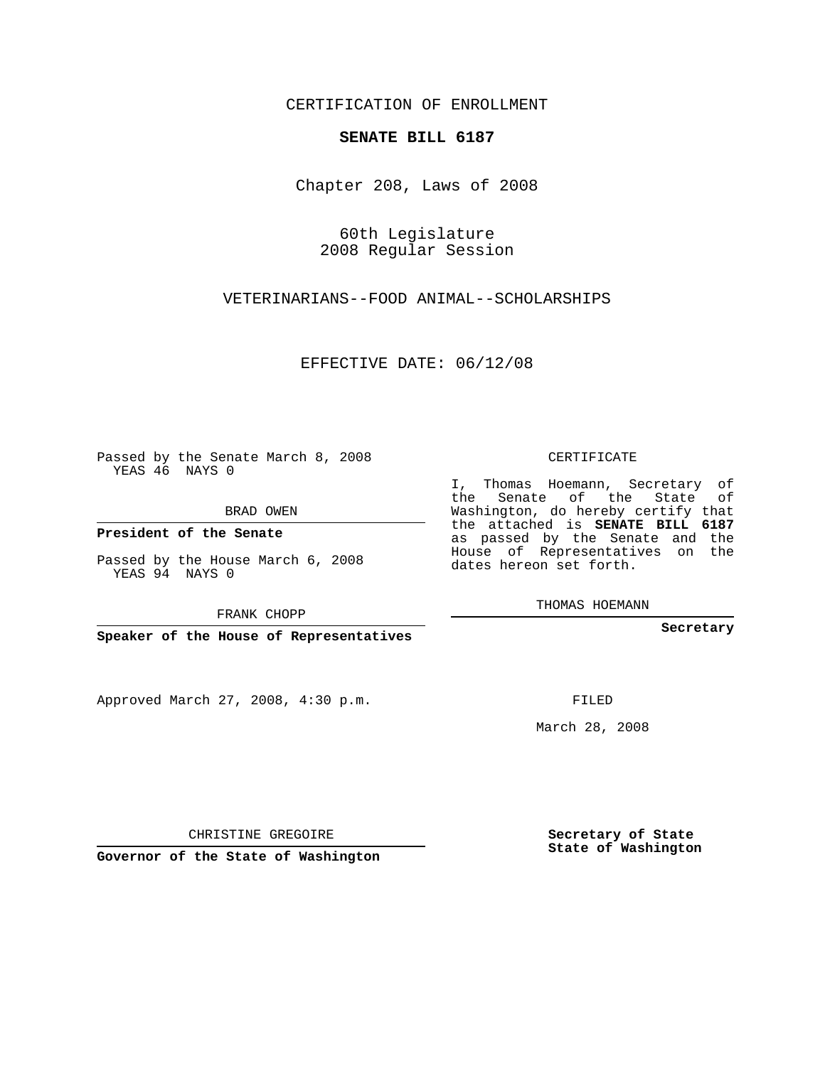CERTIFICATION OF ENROLLMENT

## **SENATE BILL 6187**

Chapter 208, Laws of 2008

60th Legislature 2008 Regular Session

VETERINARIANS--FOOD ANIMAL--SCHOLARSHIPS

EFFECTIVE DATE: 06/12/08

Passed by the Senate March 8, 2008 YEAS 46 NAYS 0

BRAD OWEN

**President of the Senate**

Passed by the House March 6, 2008 YEAS 94 NAYS 0

FRANK CHOPP

**Speaker of the House of Representatives**

Approved March 27, 2008, 4:30 p.m.

CERTIFICATE

I, Thomas Hoemann, Secretary of the Senate of the State of Washington, do hereby certify that the attached is **SENATE BILL 6187** as passed by the Senate and the House of Representatives on the dates hereon set forth.

THOMAS HOEMANN

**Secretary**

FILED

March 28, 2008

**Secretary of State State of Washington**

CHRISTINE GREGOIRE

**Governor of the State of Washington**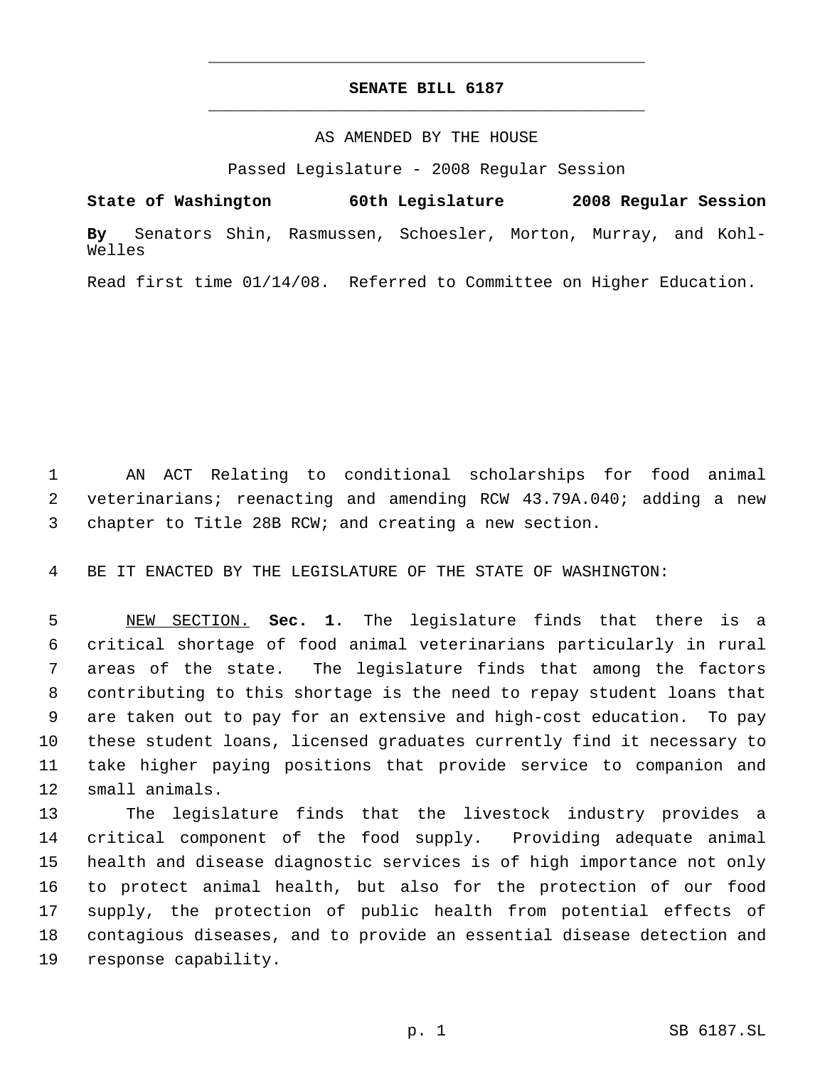## **SENATE BILL 6187** \_\_\_\_\_\_\_\_\_\_\_\_\_\_\_\_\_\_\_\_\_\_\_\_\_\_\_\_\_\_\_\_\_\_\_\_\_\_\_\_\_\_\_\_\_

\_\_\_\_\_\_\_\_\_\_\_\_\_\_\_\_\_\_\_\_\_\_\_\_\_\_\_\_\_\_\_\_\_\_\_\_\_\_\_\_\_\_\_\_\_

## AS AMENDED BY THE HOUSE

Passed Legislature - 2008 Regular Session

**State of Washington 60th Legislature 2008 Regular Session By** Senators Shin, Rasmussen, Schoesler, Morton, Murray, and Kohl-Welles

Read first time 01/14/08. Referred to Committee on Higher Education.

 AN ACT Relating to conditional scholarships for food animal veterinarians; reenacting and amending RCW 43.79A.040; adding a new chapter to Title 28B RCW; and creating a new section.

BE IT ENACTED BY THE LEGISLATURE OF THE STATE OF WASHINGTON:

 NEW SECTION. **Sec. 1.** The legislature finds that there is a critical shortage of food animal veterinarians particularly in rural areas of the state. The legislature finds that among the factors contributing to this shortage is the need to repay student loans that are taken out to pay for an extensive and high-cost education. To pay these student loans, licensed graduates currently find it necessary to take higher paying positions that provide service to companion and small animals.

 The legislature finds that the livestock industry provides a critical component of the food supply. Providing adequate animal health and disease diagnostic services is of high importance not only to protect animal health, but also for the protection of our food supply, the protection of public health from potential effects of contagious diseases, and to provide an essential disease detection and response capability.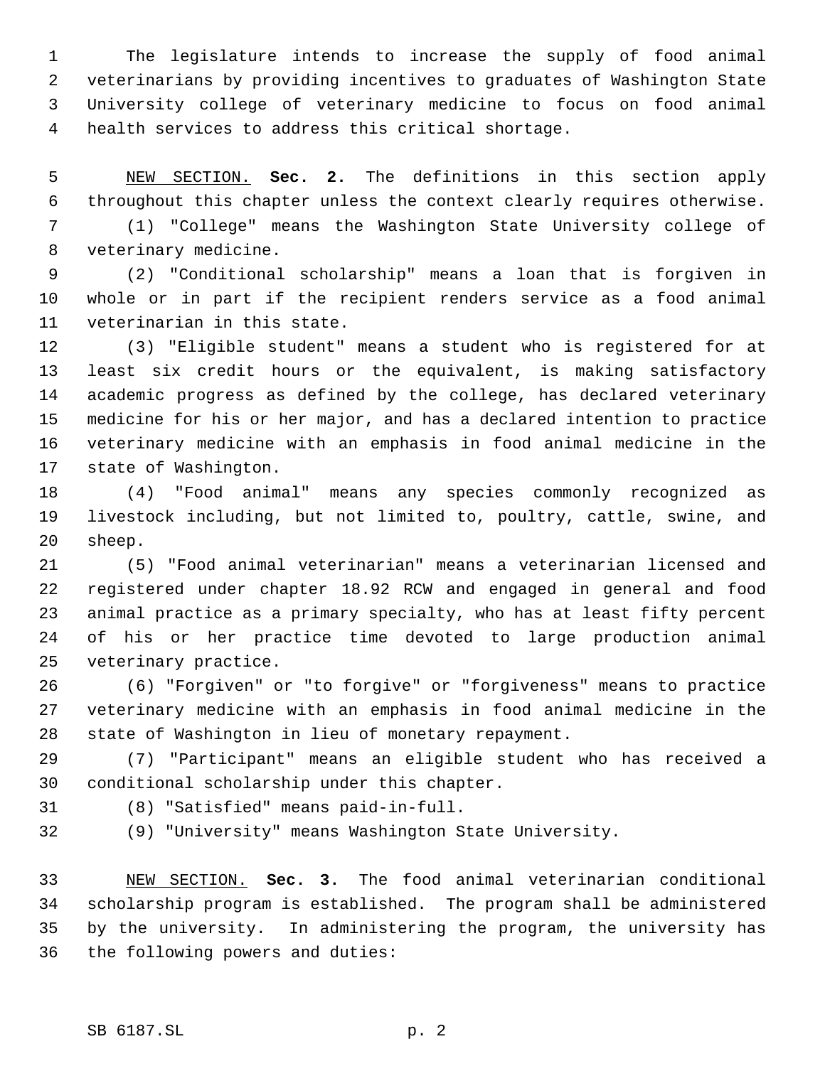The legislature intends to increase the supply of food animal veterinarians by providing incentives to graduates of Washington State University college of veterinary medicine to focus on food animal health services to address this critical shortage.

 NEW SECTION. **Sec. 2.** The definitions in this section apply throughout this chapter unless the context clearly requires otherwise.

 (1) "College" means the Washington State University college of veterinary medicine.

 (2) "Conditional scholarship" means a loan that is forgiven in whole or in part if the recipient renders service as a food animal veterinarian in this state.

 (3) "Eligible student" means a student who is registered for at least six credit hours or the equivalent, is making satisfactory academic progress as defined by the college, has declared veterinary medicine for his or her major, and has a declared intention to practice veterinary medicine with an emphasis in food animal medicine in the state of Washington.

 (4) "Food animal" means any species commonly recognized as livestock including, but not limited to, poultry, cattle, swine, and sheep.

 (5) "Food animal veterinarian" means a veterinarian licensed and registered under chapter 18.92 RCW and engaged in general and food animal practice as a primary specialty, who has at least fifty percent of his or her practice time devoted to large production animal veterinary practice.

 (6) "Forgiven" or "to forgive" or "forgiveness" means to practice veterinary medicine with an emphasis in food animal medicine in the state of Washington in lieu of monetary repayment.

 (7) "Participant" means an eligible student who has received a conditional scholarship under this chapter.

(8) "Satisfied" means paid-in-full.

(9) "University" means Washington State University.

 NEW SECTION. **Sec. 3.** The food animal veterinarian conditional scholarship program is established. The program shall be administered by the university. In administering the program, the university has the following powers and duties: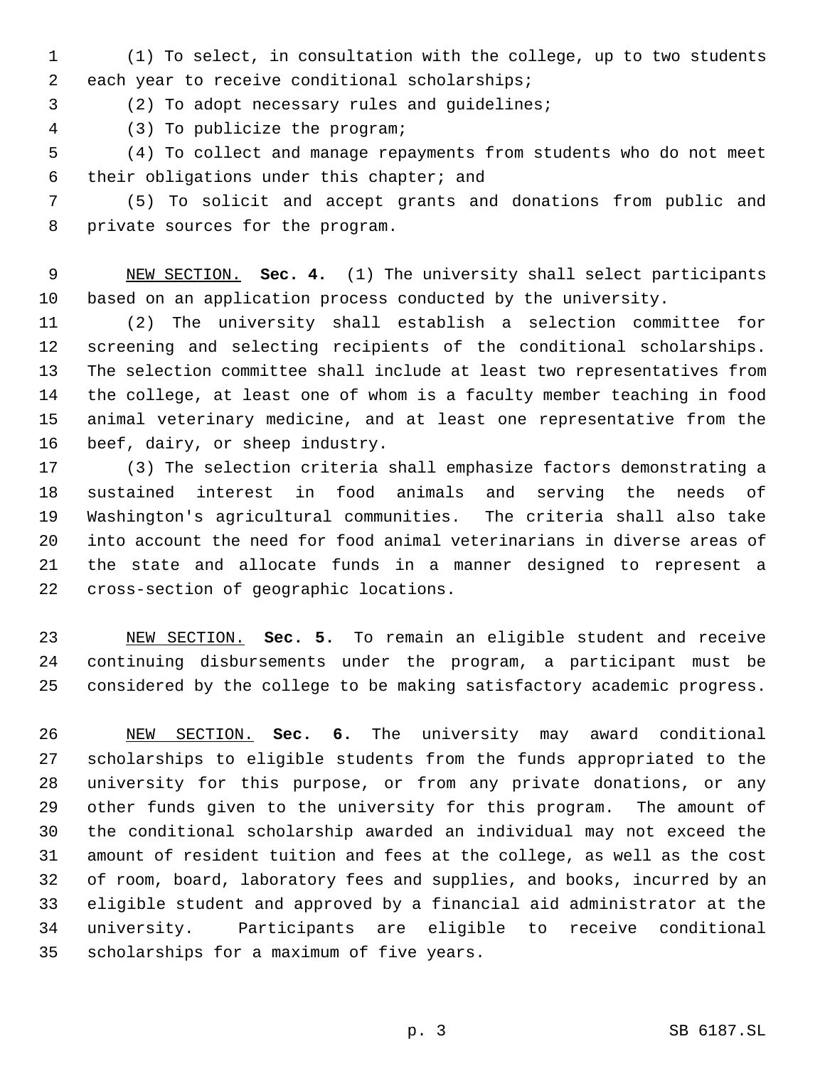(1) To select, in consultation with the college, up to two students each year to receive conditional scholarships;

(2) To adopt necessary rules and guidelines;

(3) To publicize the program;

 (4) To collect and manage repayments from students who do not meet their obligations under this chapter; and

 (5) To solicit and accept grants and donations from public and private sources for the program.

 NEW SECTION. **Sec. 4.** (1) The university shall select participants based on an application process conducted by the university.

 (2) The university shall establish a selection committee for screening and selecting recipients of the conditional scholarships. The selection committee shall include at least two representatives from the college, at least one of whom is a faculty member teaching in food animal veterinary medicine, and at least one representative from the beef, dairy, or sheep industry.

 (3) The selection criteria shall emphasize factors demonstrating a sustained interest in food animals and serving the needs of Washington's agricultural communities. The criteria shall also take into account the need for food animal veterinarians in diverse areas of the state and allocate funds in a manner designed to represent a cross-section of geographic locations.

 NEW SECTION. **Sec. 5.** To remain an eligible student and receive continuing disbursements under the program, a participant must be considered by the college to be making satisfactory academic progress.

 NEW SECTION. **Sec. 6.** The university may award conditional scholarships to eligible students from the funds appropriated to the university for this purpose, or from any private donations, or any other funds given to the university for this program. The amount of the conditional scholarship awarded an individual may not exceed the amount of resident tuition and fees at the college, as well as the cost of room, board, laboratory fees and supplies, and books, incurred by an eligible student and approved by a financial aid administrator at the university. Participants are eligible to receive conditional scholarships for a maximum of five years.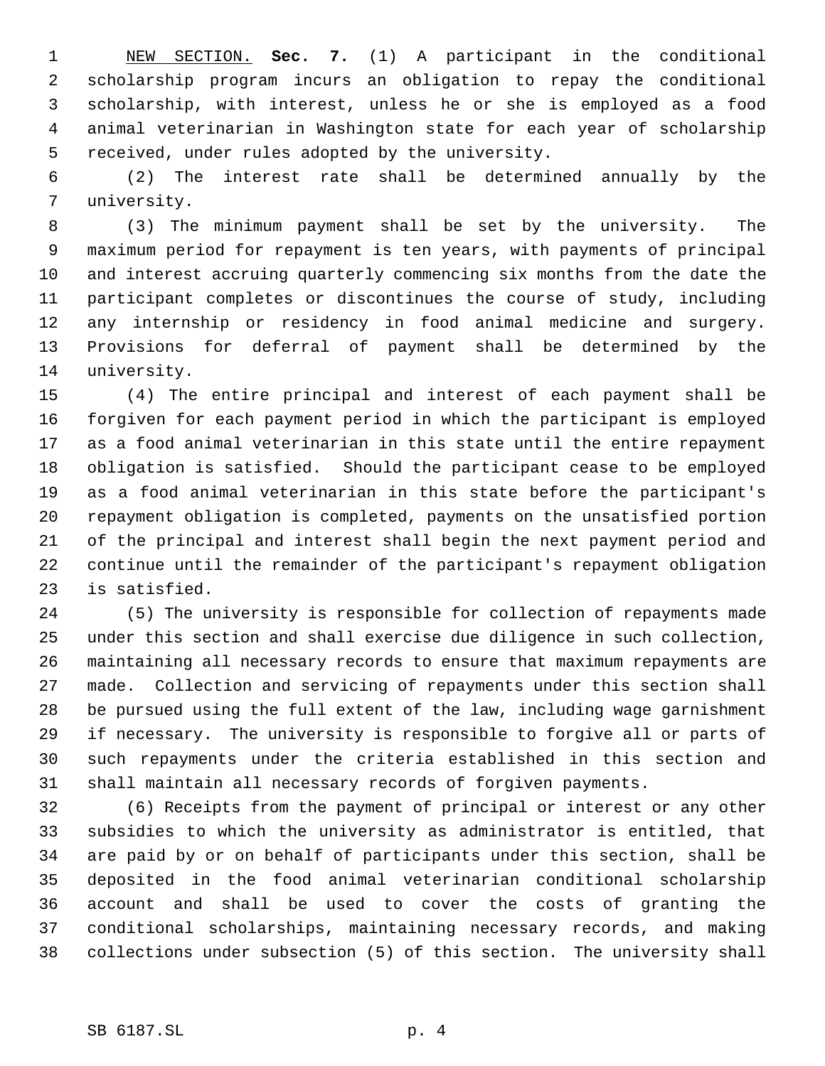NEW SECTION. **Sec. 7.** (1) A participant in the conditional scholarship program incurs an obligation to repay the conditional scholarship, with interest, unless he or she is employed as a food animal veterinarian in Washington state for each year of scholarship received, under rules adopted by the university.

 (2) The interest rate shall be determined annually by the university.

 (3) The minimum payment shall be set by the university. The maximum period for repayment is ten years, with payments of principal and interest accruing quarterly commencing six months from the date the participant completes or discontinues the course of study, including any internship or residency in food animal medicine and surgery. Provisions for deferral of payment shall be determined by the university.

 (4) The entire principal and interest of each payment shall be forgiven for each payment period in which the participant is employed as a food animal veterinarian in this state until the entire repayment obligation is satisfied. Should the participant cease to be employed as a food animal veterinarian in this state before the participant's repayment obligation is completed, payments on the unsatisfied portion of the principal and interest shall begin the next payment period and continue until the remainder of the participant's repayment obligation is satisfied.

 (5) The university is responsible for collection of repayments made under this section and shall exercise due diligence in such collection, maintaining all necessary records to ensure that maximum repayments are made. Collection and servicing of repayments under this section shall be pursued using the full extent of the law, including wage garnishment if necessary. The university is responsible to forgive all or parts of such repayments under the criteria established in this section and shall maintain all necessary records of forgiven payments.

 (6) Receipts from the payment of principal or interest or any other subsidies to which the university as administrator is entitled, that are paid by or on behalf of participants under this section, shall be deposited in the food animal veterinarian conditional scholarship account and shall be used to cover the costs of granting the conditional scholarships, maintaining necessary records, and making collections under subsection (5) of this section. The university shall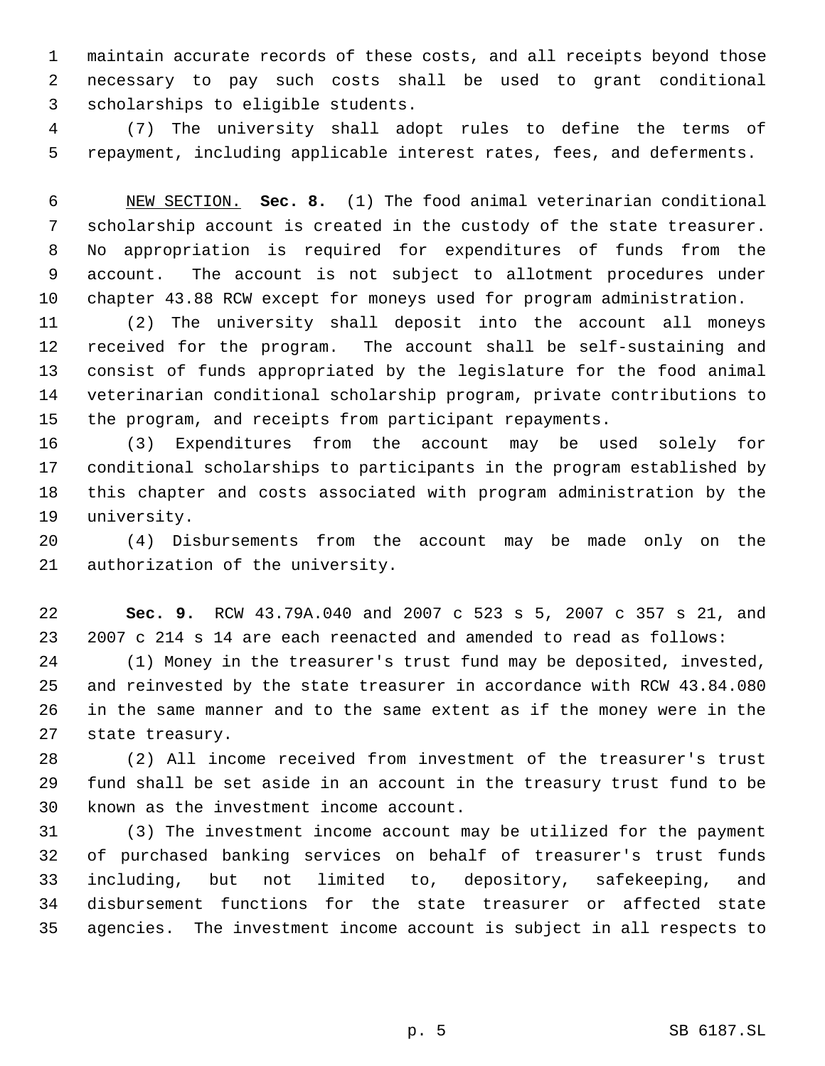maintain accurate records of these costs, and all receipts beyond those necessary to pay such costs shall be used to grant conditional scholarships to eligible students.

 (7) The university shall adopt rules to define the terms of repayment, including applicable interest rates, fees, and deferments.

 NEW SECTION. **Sec. 8.** (1) The food animal veterinarian conditional scholarship account is created in the custody of the state treasurer. No appropriation is required for expenditures of funds from the account. The account is not subject to allotment procedures under chapter 43.88 RCW except for moneys used for program administration.

 (2) The university shall deposit into the account all moneys received for the program. The account shall be self-sustaining and consist of funds appropriated by the legislature for the food animal veterinarian conditional scholarship program, private contributions to the program, and receipts from participant repayments.

 (3) Expenditures from the account may be used solely for conditional scholarships to participants in the program established by this chapter and costs associated with program administration by the university.

 (4) Disbursements from the account may be made only on the authorization of the university.

 **Sec. 9.** RCW 43.79A.040 and 2007 c 523 s 5, 2007 c 357 s 21, and 2007 c 214 s 14 are each reenacted and amended to read as follows:

 (1) Money in the treasurer's trust fund may be deposited, invested, and reinvested by the state treasurer in accordance with RCW 43.84.080 in the same manner and to the same extent as if the money were in the state treasury.

 (2) All income received from investment of the treasurer's trust fund shall be set aside in an account in the treasury trust fund to be known as the investment income account.

 (3) The investment income account may be utilized for the payment of purchased banking services on behalf of treasurer's trust funds including, but not limited to, depository, safekeeping, and disbursement functions for the state treasurer or affected state agencies. The investment income account is subject in all respects to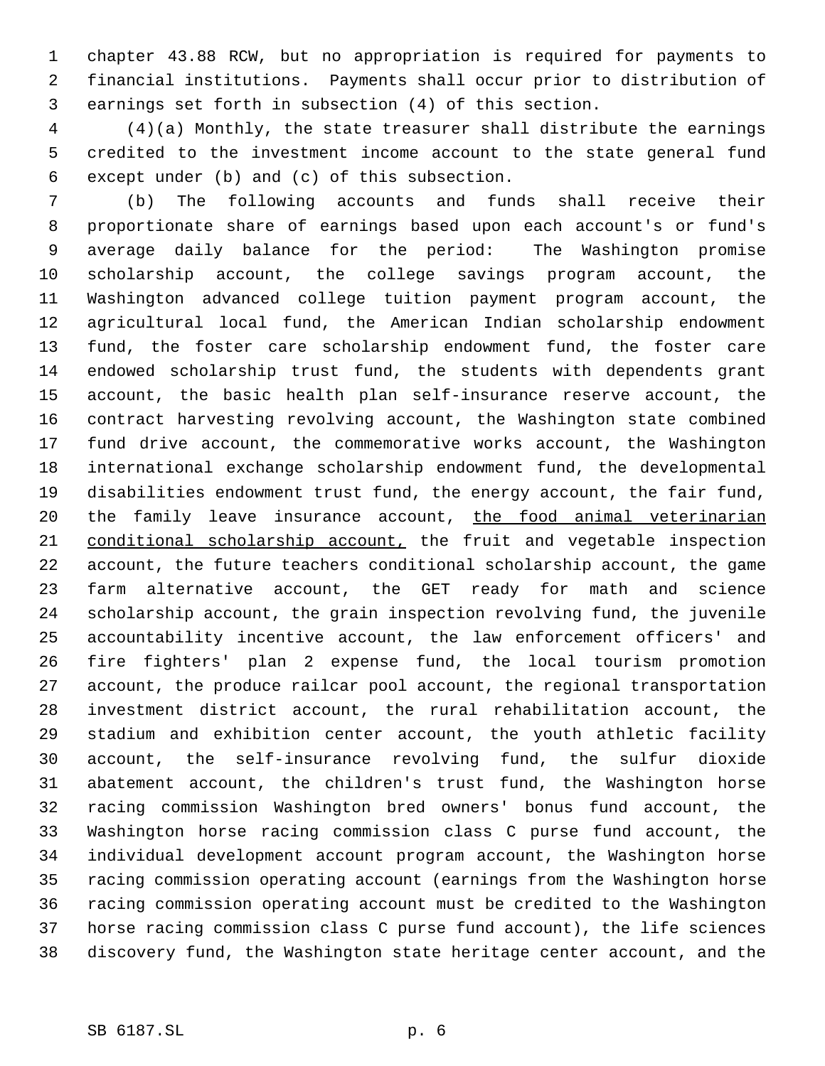chapter 43.88 RCW, but no appropriation is required for payments to financial institutions. Payments shall occur prior to distribution of earnings set forth in subsection (4) of this section.

 (4)(a) Monthly, the state treasurer shall distribute the earnings credited to the investment income account to the state general fund except under (b) and (c) of this subsection.

 (b) The following accounts and funds shall receive their proportionate share of earnings based upon each account's or fund's average daily balance for the period: The Washington promise scholarship account, the college savings program account, the Washington advanced college tuition payment program account, the agricultural local fund, the American Indian scholarship endowment fund, the foster care scholarship endowment fund, the foster care endowed scholarship trust fund, the students with dependents grant account, the basic health plan self-insurance reserve account, the contract harvesting revolving account, the Washington state combined fund drive account, the commemorative works account, the Washington international exchange scholarship endowment fund, the developmental disabilities endowment trust fund, the energy account, the fair fund, 20 the family leave insurance account, the food animal veterinarian conditional scholarship account, the fruit and vegetable inspection account, the future teachers conditional scholarship account, the game farm alternative account, the GET ready for math and science scholarship account, the grain inspection revolving fund, the juvenile accountability incentive account, the law enforcement officers' and fire fighters' plan 2 expense fund, the local tourism promotion account, the produce railcar pool account, the regional transportation investment district account, the rural rehabilitation account, the stadium and exhibition center account, the youth athletic facility account, the self-insurance revolving fund, the sulfur dioxide abatement account, the children's trust fund, the Washington horse racing commission Washington bred owners' bonus fund account, the Washington horse racing commission class C purse fund account, the individual development account program account, the Washington horse racing commission operating account (earnings from the Washington horse racing commission operating account must be credited to the Washington horse racing commission class C purse fund account), the life sciences discovery fund, the Washington state heritage center account, and the